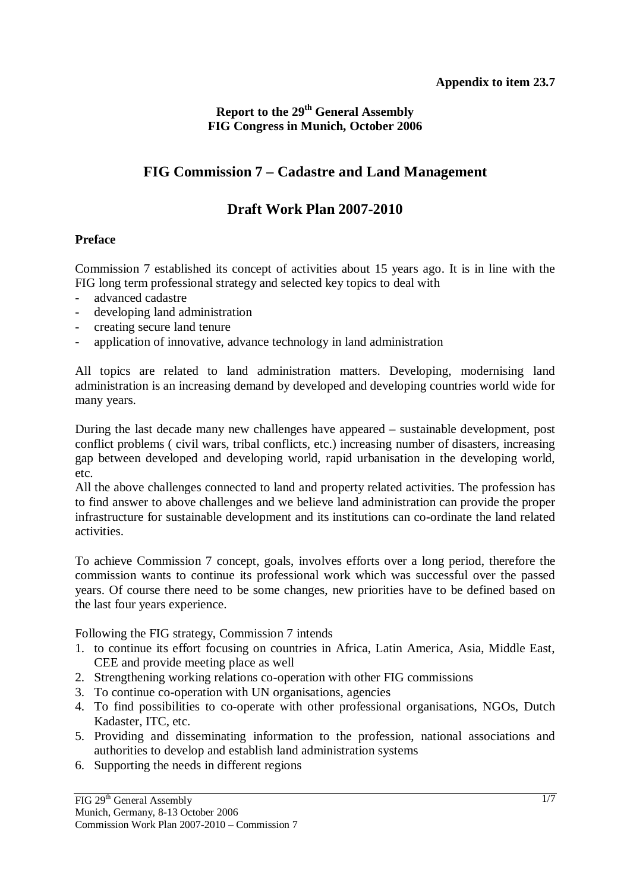# **Report to the 29<sup>th</sup> General Assembly FIG Congress in Munich, October 2006**

# **FIG Commission 7 – Cadastre and Land Management**

# **Draft Work Plan 2007-2010**

#### **Preface**

Commission 7 established its concept of activities about 15 years ago. It is in line with the FIG long term professional strategy and selected key topics to deal with

- advanced cadastre
- developing land administration
- creating secure land tenure
- application of innovative, advance technology in land administration

All topics are related to land administration matters. Developing, modernising land administration is an increasing demand by developed and developing countries world wide for many years.

During the last decade many new challenges have appeared – sustainable development, post conflict problems ( civil wars, tribal conflicts, etc.) increasing number of disasters, increasing gap between developed and developing world, rapid urbanisation in the developing world, etc.

All the above challenges connected to land and property related activities. The profession has to find answer to above challenges and we believe land administration can provide the proper infrastructure for sustainable development and its institutions can co-ordinate the land related activities.

To achieve Commission 7 concept, goals, involves efforts over a long period, therefore the commission wants to continue its professional work which was successful over the passed years. Of course there need to be some changes, new priorities have to be defined based on the last four years experience.

Following the FIG strategy, Commission 7 intends

- 1. to continue its effort focusing on countries in Africa, Latin America, Asia, Middle East, CEE and provide meeting place as well
- 2. Strengthening working relations co-operation with other FIG commissions
- 3. To continue co-operation with UN organisations, agencies
- 4. To find possibilities to co-operate with other professional organisations, NGOs, Dutch Kadaster, ITC, etc.
- 5. Providing and disseminating information to the profession, national associations and authorities to develop and establish land administration systems
- 6. Supporting the needs in different regions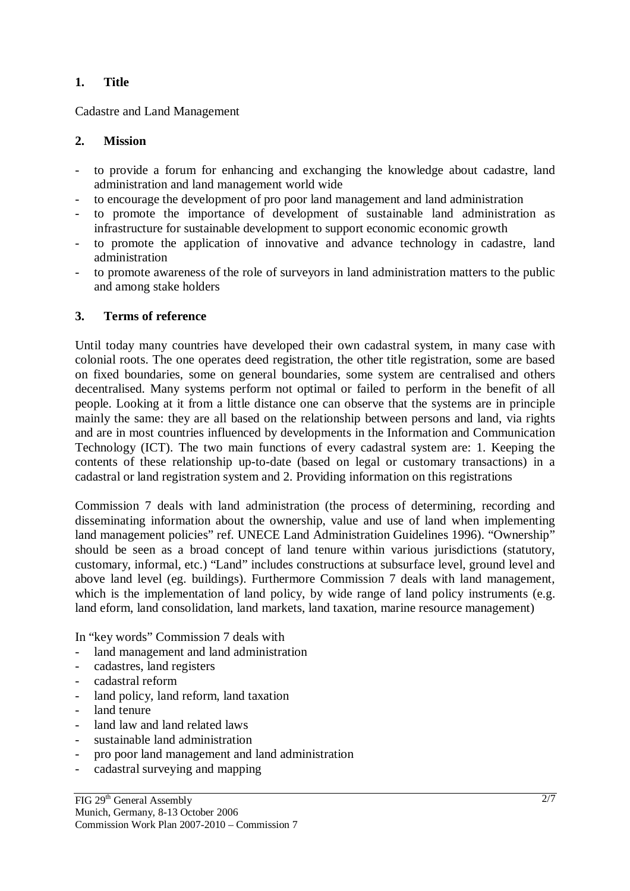# **1. Title**

Cadastre and Land Management

#### **2. Mission**

- to provide a forum for enhancing and exchanging the knowledge about cadastre, land administration and land management world wide
- to encourage the development of pro poor land management and land administration
- to promote the importance of development of sustainable land administration as infrastructure for sustainable development to support economic economic growth
- to promote the application of innovative and advance technology in cadastre, land administration
- to promote awareness of the role of surveyors in land administration matters to the public and among stake holders

#### **3. Terms of reference**

Until today many countries have developed their own cadastral system, in many case with colonial roots. The one operates deed registration, the other title registration, some are based on fixed boundaries, some on general boundaries, some system are centralised and others decentralised. Many systems perform not optimal or failed to perform in the benefit of all people. Looking at it from a little distance one can observe that the systems are in principle mainly the same: they are all based on the relationship between persons and land, via rights and are in most countries influenced by developments in the Information and Communication Technology (ICT). The two main functions of every cadastral system are: 1. Keeping the contents of these relationship up-to-date (based on legal or customary transactions) in a cadastral or land registration system and 2. Providing information on this registrations

Commission 7 deals with land administration (the process of determining, recording and disseminating information about the ownership, value and use of land when implementing land management policies" ref. UNECE Land Administration Guidelines 1996). "Ownership" should be seen as a broad concept of land tenure within various jurisdictions (statutory, customary, informal, etc.) "Land" includes constructions at subsurface level, ground level and above land level (eg. buildings). Furthermore Commission 7 deals with land management, which is the implementation of land policy, by wide range of land policy instruments (e.g. land eform, land consolidation, land markets, land taxation, marine resource management)

In "key words" Commission 7 deals with

- land management and land administration
- cadastres, land registers
- cadastral reform
- land policy, land reform, land taxation
- land tenure
- land law and land related laws
- sustainable land administration
- pro poor land management and land administration
- cadastral surveying and mapping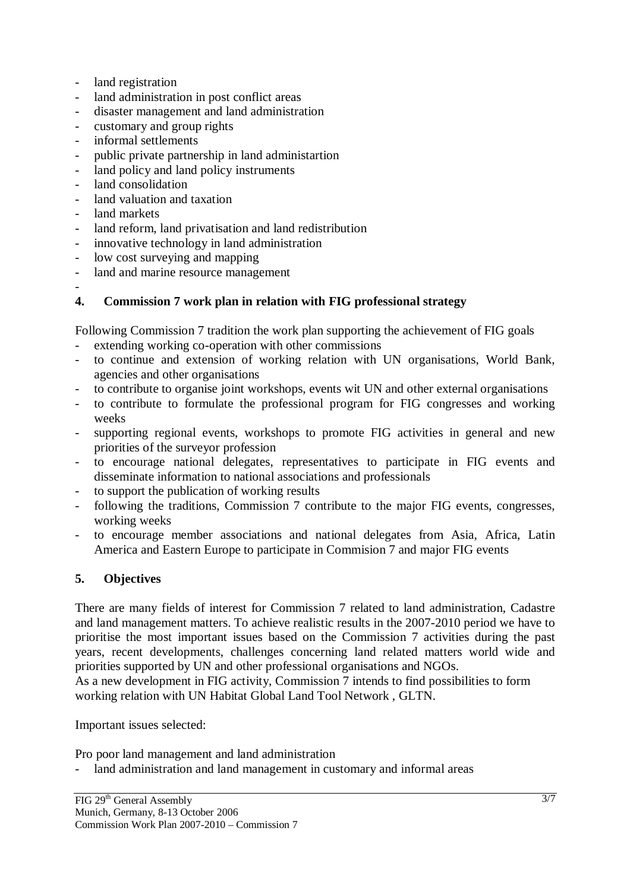- land registration
- land administration in post conflict areas
- disaster management and land administration
- customary and group rights
- informal settlements
- public private partnership in land administartion
- land policy and land policy instruments
- land consolidation
- land valuation and taxation
- land markets
- land reform, land privatisation and land redistribution
- innovative technology in land administration
- low cost surveying and mapping
- land and marine resource management
- **4. Commission 7 work plan in relation with FIG professional strategy**

Following Commission 7 tradition the work plan supporting the achievement of FIG goals

- extending working co-operation with other commissions
- to continue and extension of working relation with UN organisations, World Bank, agencies and other organisations
- to contribute to organise joint workshops, events wit UN and other external organisations
- to contribute to formulate the professional program for FIG congresses and working weeks
- supporting regional events, workshops to promote FIG activities in general and new priorities of the surveyor profession
- to encourage national delegates, representatives to participate in FIG events and disseminate information to national associations and professionals
- to support the publication of working results
- following the traditions, Commission 7 contribute to the major FIG events, congresses, working weeks
- to encourage member associations and national delegates from Asia, Africa, Latin America and Eastern Europe to participate in Commision 7 and major FIG events

# **5. Objectives**

There are many fields of interest for Commission 7 related to land administration, Cadastre and land management matters. To achieve realistic results in the 2007-2010 period we have to prioritise the most important issues based on the Commission 7 activities during the past years, recent developments, challenges concerning land related matters world wide and priorities supported by UN and other professional organisations and NGOs.

As a new development in FIG activity, Commission 7 intends to find possibilities to form working relation with UN Habitat Global Land Tool Network , GLTN.

Important issues selected:

Pro poor land management and land administration

- land administration and land management in customary and informal areas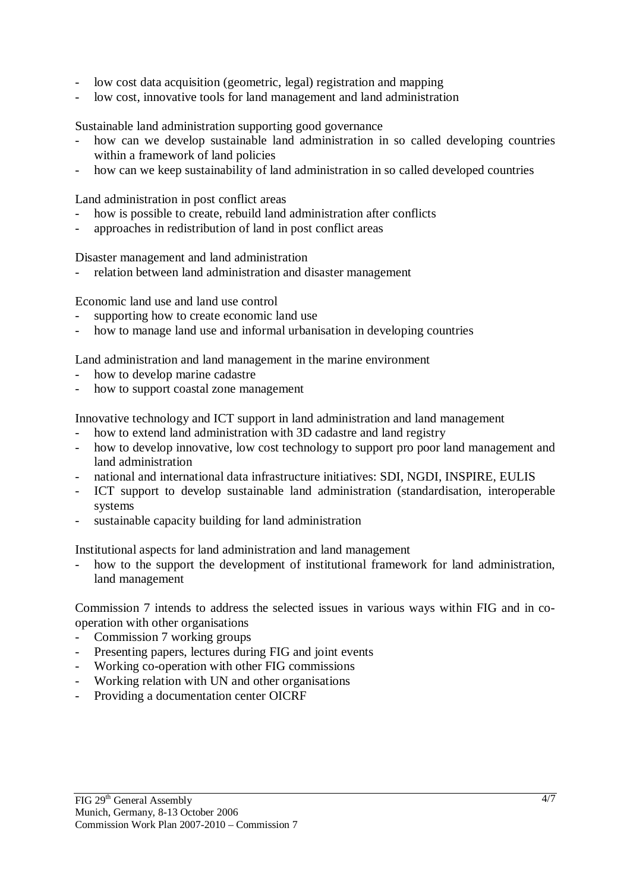- low cost data acquisition (geometric, legal) registration and mapping
- low cost, innovative tools for land management and land administration

Sustainable land administration supporting good governance

- how can we develop sustainable land administration in so called developing countries within a framework of land policies
- how can we keep sustainability of land administration in so called developed countries

Land administration in post conflict areas

- how is possible to create, rebuild land administration after conflicts
- approaches in redistribution of land in post conflict areas

Disaster management and land administration

relation between land administration and disaster management

Economic land use and land use control

- supporting how to create economic land use
- how to manage land use and informal urbanisation in developing countries

Land administration and land management in the marine environment

- how to develop marine cadastre
- how to support coastal zone management

Innovative technology and ICT support in land administration and land management

- how to extend land administration with 3D cadastre and land registry
- how to develop innovative, low cost technology to support pro poor land management and land administration
- national and international data infrastructure initiatives: SDI, NGDI, INSPIRE, EULIS
- ICT support to develop sustainable land administration (standardisation, interoperable systems
- sustainable capacity building for land administration

Institutional aspects for land administration and land management

how to the support the development of institutional framework for land administration, land management

Commission 7 intends to address the selected issues in various ways within FIG and in cooperation with other organisations

- Commission 7 working groups
- Presenting papers, lectures during FIG and joint events
- Working co-operation with other FIG commissions
- Working relation with UN and other organisations
- Providing a documentation center OICRF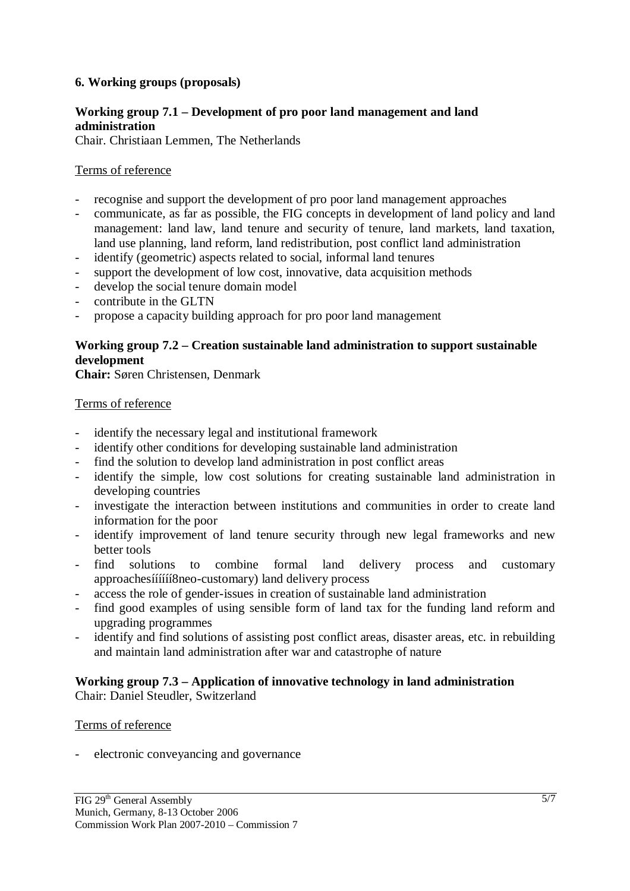### **6. Working groups (proposals)**

### **Working group 7.1 – Development of pro poor land management and land administration**

Chair. Christiaan Lemmen, The Netherlands

### Terms of reference

- recognise and support the development of pro poor land management approaches
- communicate, as far as possible, the FIG concepts in development of land policy and land management: land law, land tenure and security of tenure, land markets, land taxation, land use planning, land reform, land redistribution, post conflict land administration
- identify (geometric) aspects related to social, informal land tenures
- support the development of low cost, innovative, data acquisition methods
- develop the social tenure domain model
- contribute in the GLTN
- propose a capacity building approach for pro poor land management

### **Working group 7.2 – Creation sustainable land administration to support sustainable development**

**Chair:** Søren Christensen, Denmark

#### Terms of reference

- identify the necessary legal and institutional framework
- identify other conditions for developing sustainable land administration
- find the solution to develop land administration in post conflict areas
- identify the simple, low cost solutions for creating sustainable land administration in developing countries
- investigate the interaction between institutions and communities in order to create land information for the poor
- identify improvement of land tenure security through new legal frameworks and new better tools
- find solutions to combine formal land delivery process and customary approachesíííííí8neo-customary) land delivery process
- access the role of gender-issues in creation of sustainable land administration
- find good examples of using sensible form of land tax for the funding land reform and upgrading programmes
- identify and find solutions of assisting post conflict areas, disaster areas, etc. in rebuilding and maintain land administration after war and catastrophe of nature

# **Working group 7.3 – Application of innovative technology in land administration**

Chair: Daniel Steudler, Switzerland

#### Terms of reference

electronic conveyancing and governance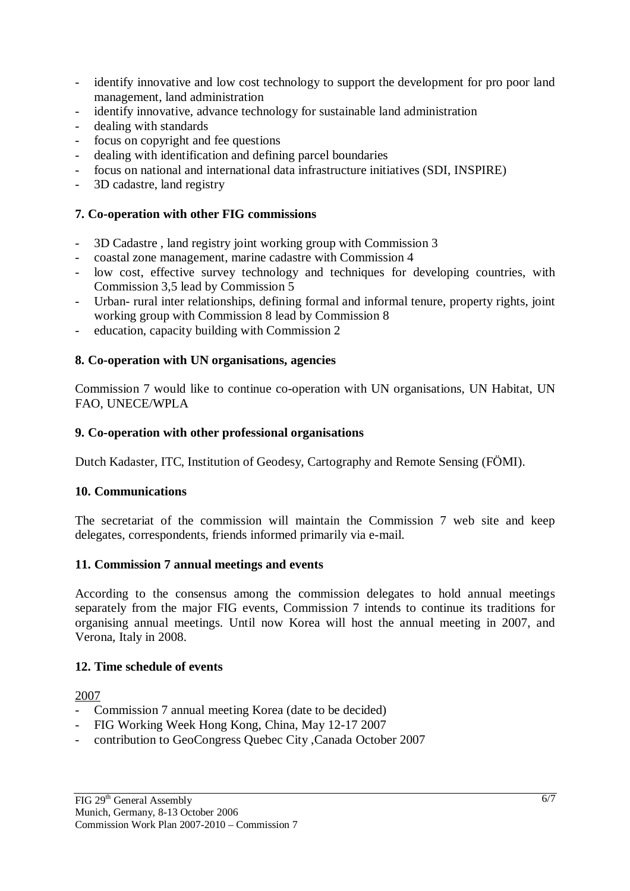- identify innovative and low cost technology to support the development for pro poor land management, land administration
- identify innovative, advance technology for sustainable land administration
- dealing with standards
- focus on copyright and fee questions
- dealing with identification and defining parcel boundaries
- focus on national and international data infrastructure initiatives (SDI, INSPIRE)
- 3D cadastre, land registry

### **7. Co-operation with other FIG commissions**

- 3D Cadastre , land registry joint working group with Commission 3
- coastal zone management, marine cadastre with Commission 4
- low cost, effective survey technology and techniques for developing countries, with Commission 3,5 lead by Commission 5
- Urban- rural inter relationships, defining formal and informal tenure, property rights, joint working group with Commission 8 lead by Commission 8
- education, capacity building with Commission 2

#### **8. Co-operation with UN organisations, agencies**

Commission 7 would like to continue co-operation with UN organisations, UN Habitat, UN FAO, UNECE/WPLA

#### **9. Co-operation with other professional organisations**

Dutch Kadaster, ITC, Institution of Geodesy, Cartography and Remote Sensing (FÖMI).

#### **10. Communications**

The secretariat of the commission will maintain the Commission 7 web site and keep delegates, correspondents, friends informed primarily via e-mail.

#### **11. Commission 7 annual meetings and events**

According to the consensus among the commission delegates to hold annual meetings separately from the major FIG events, Commission 7 intends to continue its traditions for organising annual meetings. Until now Korea will host the annual meeting in 2007, and Verona, Italy in 2008.

#### **12. Time schedule of events**

2007

- Commission 7 annual meeting Korea (date to be decided)
- FIG Working Week Hong Kong, China, May 12-17 2007
- contribution to GeoCongress Quebec City ,Canada October 2007